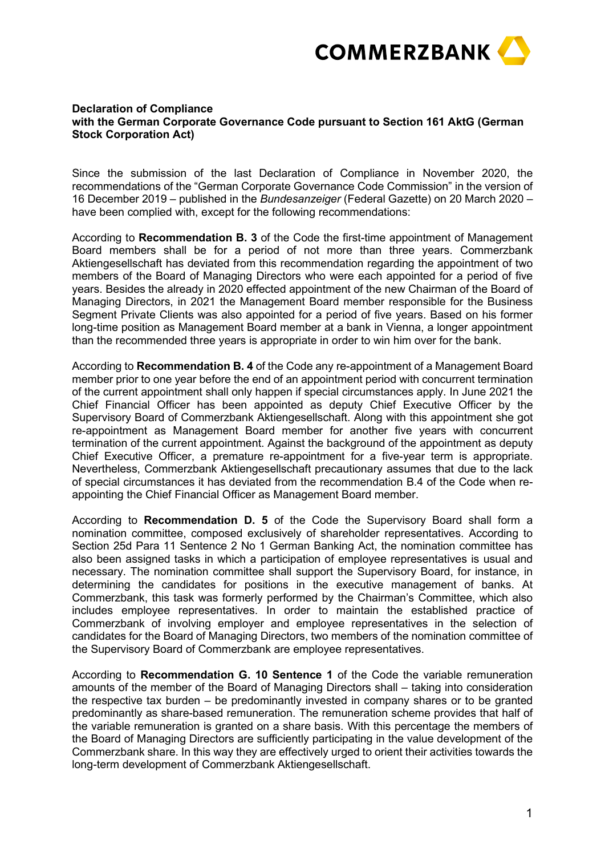

## **Declaration of Compliance with the German Corporate Governance Code pursuant to Section 161 AktG (German Stock Corporation Act)**

Since the submission of the last Declaration of Compliance in November 2020, the recommendations of the "German Corporate Governance Code Commission" in the version of 16 December 2019 – published in the *Bundesanzeiger* (Federal Gazette) on 20 March 2020 – have been complied with, except for the following recommendations:

According to **Recommendation B. 3** of the Code the first-time appointment of Management Board members shall be for a period of not more than three years. Commerzbank Aktiengesellschaft has deviated from this recommendation regarding the appointment of two members of the Board of Managing Directors who were each appointed for a period of five years. Besides the already in 2020 effected appointment of the new Chairman of the Board of Managing Directors, in 2021 the Management Board member responsible for the [Business](http://comnet.intranet.commerzbank.com/comnet/en/zentrale_1/konzernstruktur/zentralebereiche/musterbereichsabteilungsvisitenkarte_46/startseite_425.jsp)  [Segment Private Clients](http://comnet.intranet.commerzbank.com/comnet/en/zentrale_1/konzernstruktur/zentralebereiche/musterbereichsabteilungsvisitenkarte_46/startseite_425.jsp) was also appointed for a period of five years. Based on his former long-time position as Management Board member at a bank in Vienna, a longer appointment than the recommended three years is appropriate in order to win him over for the bank.

According to **Recommendation B. 4** of the Code any re-appointment of a Management Board member prior to one year before the end of an appointment period with concurrent termination of the current appointment shall only happen if special circumstances apply. In June 2021 the Chief Financial Officer has been appointed as deputy Chief Executive Officer by the Supervisory Board of Commerzbank Aktiengesellschaft. Along with this appointment she got re-appointment as Management Board member for another five years with concurrent termination of the current appointment. Against the background of the appointment as deputy Chief Executive Officer, a premature re-appointment for a five-year term is appropriate. Nevertheless, Commerzbank Aktiengesellschaft precautionary assumes that due to the lack of special circumstances it has deviated from the recommendation B.4 of the Code when reappointing the Chief Financial Officer as Management Board member.

According to **Recommendation D. 5** of the Code the Supervisory Board shall form a nomination committee, composed exclusively of shareholder representatives. According to Section 25d Para 11 Sentence 2 No 1 German Banking Act, the nomination committee has also been assigned tasks in which a participation of employee representatives is usual and necessary. The nomination committee shall support the Supervisory Board, for instance, in determining the candidates for positions in the executive management of banks. At Commerzbank, this task was formerly performed by the Chairman's Committee, which also includes employee representatives. In order to maintain the established practice of Commerzbank of involving employer and employee representatives in the selection of candidates for the Board of Managing Directors, two members of the nomination committee of the Supervisory Board of Commerzbank are employee representatives.

According to **Recommendation G. 10 Sentence 1** of the Code the variable remuneration amounts of the member of the Board of Managing Directors shall – taking into consideration the respective tax burden – be predominantly invested in company shares or to be granted predominantly as share-based remuneration. The remuneration scheme provides that half of the variable remuneration is granted on a share basis. With this percentage the members of the Board of Managing Directors are sufficiently participating in the value development of the Commerzbank share. In this way they are effectively urged to orient their activities towards the long-term development of Commerzbank Aktiengesellschaft.